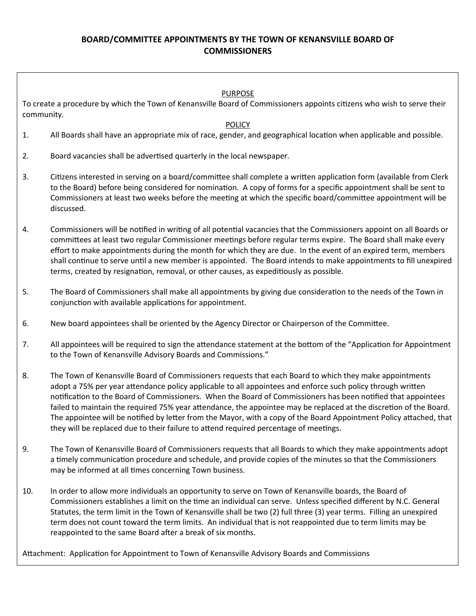## **BOARD/COMMITTEE APPOINTMENTS BY THE TOWN OF KENANSVILLE BOARD OF COMMISSIONERS**

### PURPOSE

To create a procedure by which the Town of Kenansville Board of Commissioners appoints citizens who wish to serve their community.

#### **POLICY**

- 1. All Boards shall have an appropriate mix of race, gender, and geographical location when applicable and possible.
- 2. Board vacancies shall be advertised quarterly in the local newspaper.
- 3. Citizens interested in serving on a board/committee shall complete a written application form (available from Clerk to the Board) before being considered for nomination. A copy of forms for a specific appointment shall be sent to Commissioners at least two weeks before the meeting at which the specific board/committee appointment will be discussed.
- 4. Commissioners will be notified in writing of all potential vacancies that the Commissioners appoint on all Boards or committees at least two regular Commissioner meetings before regular terms expire. The Board shall make every effort to make appointments during the month for which they are due. In the event of an expired term, members shall continue to serve until a new member is appointed. The Board intends to make appointments to fill unexpired terms, created by resignation, removal, or other causes, as expeditiously as possible.
- 5. The Board of Commissioners shall make all appointments by giving due consideration to the needs of the Town in conjunction with available applications for appointment.
- 6. New board appointees shall be oriented by the Agency Director or Chairperson of the Committee.
- 7. All appointees will be required to sign the attendance statement at the bottom of the "Application for Appointment to the Town of Kenansville Advisory Boards and Commissions."
- 8. The Town of Kenansville Board of Commissioners requests that each Board to which they make appointments adopt a 75% per year attendance policy applicable to all appointees and enforce such policy through written notification to the Board of Commissioners. When the Board of Commissioners has been notified that appointees failed to maintain the required 75% year attendance, the appointee may be replaced at the discretion of the Board. The appointee will be notified by letter from the Mayor, with a copy of the Board Appointment Policy attached, that they will be replaced due to their failure to attend required percentage of meetings.
- 9. The Town of Kenansville Board of Commissioners requests that all Boards to which they make appointments adopt a timely communication procedure and schedule, and provide copies of the minutes so that the Commissioners may be informed at all times concerning Town business.
- 10. In order to allow more individuals an opportunity to serve on Town of Kenansville boards, the Board of Commissioners establishes a limit on the time an individual can serve. Unless specified different by N.C. General Statutes, the term limit in the Town of Kenansville shall be two (2) full three (3) year terms. Filling an unexpired term does not count toward the term limits. An individual that is not reappointed due to term limits may be reappointed to the same Board after a break of six months.

Attachment: Application for Appointment to Town of Kenansville Advisory Boards and Commissions